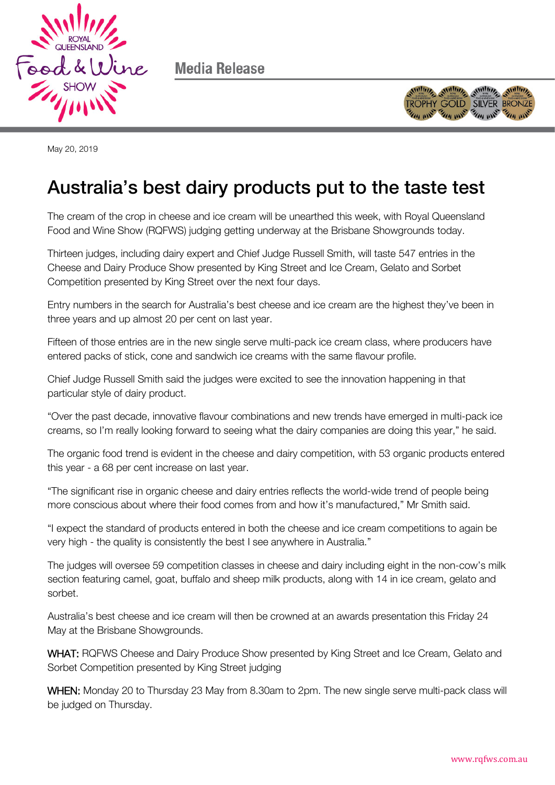

Media Release



May 20, 2019

## Australia's best dairy products put to the taste test

The cream of the crop in cheese and ice cream will be unearthed this week, with Royal Queensland Food and Wine Show (RQFWS) judging getting underway at the Brisbane Showgrounds today.

Thirteen judges, including dairy expert and Chief Judge Russell Smith, will taste 547 entries in the Cheese and Dairy Produce Show presented by King Street and Ice Cream, Gelato and Sorbet Competition presented by King Street over the next four days.

Entry numbers in the search for Australia's best cheese and ice cream are the highest they've been in three years and up almost 20 per cent on last year.

Fifteen of those entries are in the new single serve multi-pack ice cream class, where producers have entered packs of stick, cone and sandwich ice creams with the same flavour profile.

Chief Judge Russell Smith said the judges were excited to see the innovation happening in that particular style of dairy product.

"Over the past decade, innovative flavour combinations and new trends have emerged in multi-pack ice creams, so I'm really looking forward to seeing what the dairy companies are doing this year," he said.

The organic food trend is evident in the cheese and dairy competition, with 53 organic products entered this year - a 68 per cent increase on last year.

"The significant rise in organic cheese and dairy entries reflects the world-wide trend of people being more conscious about where their food comes from and how it's manufactured," Mr Smith said.

"I expect the standard of products entered in both the cheese and ice cream competitions to again be very high - the quality is consistently the best I see anywhere in Australia."

The judges will oversee 59 competition classes in cheese and dairy including eight in the non-cow's milk section featuring camel, goat, buffalo and sheep milk products, along with 14 in ice cream, gelato and sorbet.

Australia's best cheese and ice cream will then be crowned at an awards presentation this Friday 24 May at the Brisbane Showgrounds.

WHAT: RQFWS Cheese and Dairy Produce Show presented by King Street and Ice Cream, Gelato and Sorbet Competition presented by King Street judging

WHEN: Monday 20 to Thursday 23 May from 8.30am to 2pm. The new single serve multi-pack class will be judged on Thursday.